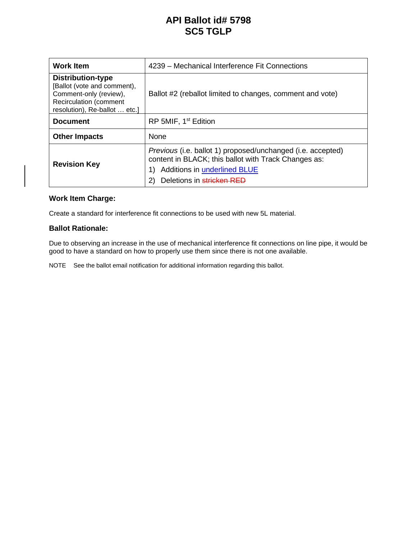# **API Ballot id# 5798 SC5 TGLP**

| <b>Work Item</b>                                                                                                                                    | 4239 - Mechanical Interference Fit Connections                                                                                                                                                |
|-----------------------------------------------------------------------------------------------------------------------------------------------------|-----------------------------------------------------------------------------------------------------------------------------------------------------------------------------------------------|
| <b>Distribution-type</b><br>[Ballot (vote and comment),<br>Comment-only (review),<br><b>Recirculation (comment</b><br>resolution), Re-ballot  etc.] | Ballot #2 (reballot limited to changes, comment and vote)                                                                                                                                     |
| <b>Document</b>                                                                                                                                     | RP 5MIF, 1 <sup>st</sup> Edition                                                                                                                                                              |
| <b>Other Impacts</b>                                                                                                                                | None                                                                                                                                                                                          |
| <b>Revision Key</b>                                                                                                                                 | Previous (i.e. ballot 1) proposed/unchanged (i.e. accepted)<br>content in BLACK; this ballot with Track Changes as:<br><b>Additions in underlined BLUE</b><br>Deletions in stricken RED<br>2) |

# **Work Item Charge:**

Create a standard for interference fit connections to be used with new 5L material.

#### **Ballot Rationale:**

Due to observing an increase in the use of mechanical interference fit connections on line pipe, it would be good to have a standard on how to properly use them since there is not one available.

NOTE See the ballot email notification for additional information regarding this ballot.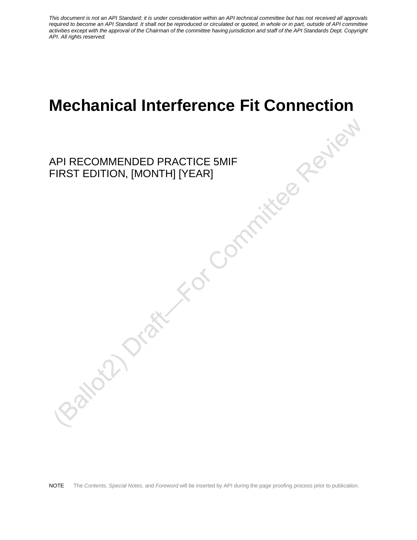# **Mechanical Interference Fit Connection**

API RECOMMENDED PRACTICE 5MIF FIRST EDITION, [MONTH] [YEAR]

NOTE The *Contents*, *Special Notes*, and *Foreword* will be inserted by API during the page proofing process prior to publication.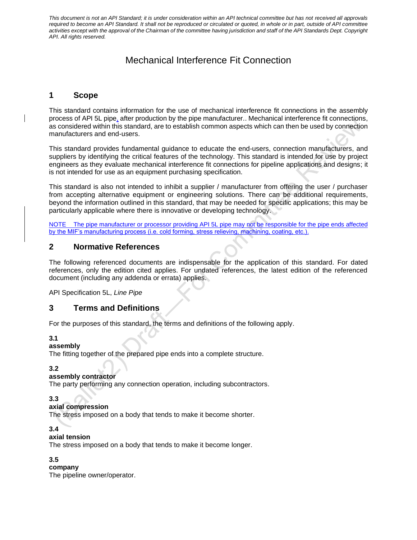# Mechanical Interference Fit Connection

# **1 Scope**

This standard contains information for the use of mechanical interference fit connections in the assembly process of API 5L pipe, after production by the pipe manufacturer.. Mechanical interference fit connections, as considered within this standard, are to establish common aspects which can then be used by connection manufacturers and end-users.

This standard provides fundamental guidance to educate the end-users, connection manufacturers, and suppliers by identifying the critical features of the technology. This standard is intended for use by project engineers as they evaluate mechanical interference fit connections for pipeline applications and designs; it is not intended for use as an equipment purchasing specification.

This standard is also not intended to inhibit a supplier / manufacturer from offering the user / purchaser from accepting alternative equipment or engineering solutions. There can be additional requirements, beyond the information outlined in this standard, that may be needed for specific applications; this may be particularly applicable where there is innovative or developing technology.

NOTE The pipe manufacturer or processor providing API 5L pipe may not be responsible for the pipe ends affected by the MIF's manufacturing process (i.e. cold forming, stress relieving, machining, coating, etc.).

# **2 Normative References**

The following referenced documents are indispensable for the application of this standard. For dated references, only the edition cited applies. For undated references, the latest edition of the referenced document (including any addenda or errata) applies.

API Specification 5L, *Line Pipe*

# **3 Terms and Definitions**

For the purposes of this standard, the terms and definitions of the following apply.

#### **3.1**

#### **assembly**

The fitting together of the prepared pipe ends into a complete structure.

#### **3.2**

#### **assembly contractor**

The party performing any connection operation, including subcontractors.

#### **3.3**

#### **axial compression**

The stress imposed on a body that tends to make it become shorter.

# **3.4**

#### **axial tension**

The stress imposed on a body that tends to make it become longer.

#### **3.5**

#### **company**

The pipeline owner/operator.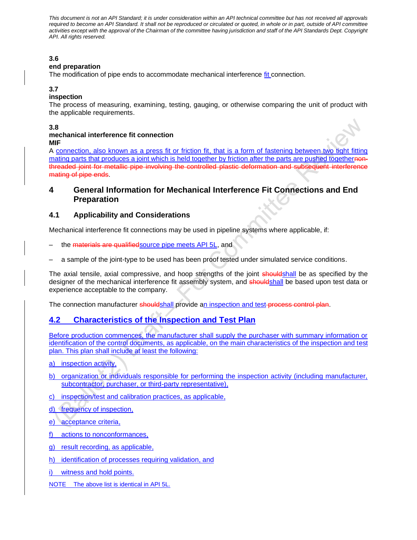# **3.6**

#### **end preparation**

The modification of pipe ends to accommodate mechanical interference fit connection.

#### **3.7**

#### **inspection**

The process of measuring, examining, testing, gauging, or otherwise comparing the unit of product with the applicable requirements.

#### **3.8**

#### **mechanical interference fit connection MIF**

A connection, also known as a press fit or friction fit, that is a form of fastening between two tight fitting mating parts that produces a joint which is held together by friction after the parts are pushed togethernonthreaded joint for metallic pipe involving the controlled plastic deformation and subsequent interference mating of pipe ends.

# **4 General Information for Mechanical Interference Fit Connections and End Preparation**

# **4.1 Applicability and Considerations**

Mechanical interference fit connections may be used in pipeline systems where applicable, if:

- the materials are qualifiedsource pipe meets API 5L, and
- a sample of the joint-type to be used has been proof tested under simulated service conditions.

The axial tensile, axial compressive, and hoop strengths of the joint shouldshall be as specified by the designer of the mechanical interference fit assembly system, and shouldshall be based upon test data or experience acceptable to the company.

The connection manufacturer shouldshall provide an inspection and test-process control plan.

# **4.2 Characteristics of the Inspection and Test Plan**

Before production commences, the manufacturer shall supply the purchaser with summary information or identification of the control documents, as applicable, on the main characteristics of the inspection and test plan. This plan shall include at least the following:

- a) inspection activity,
- b) organization or individuals responsible for performing the inspection activity (including manufacturer, subcontractor, purchaser, or third-party representative),
- c) inspection/test and calibration practices, as applicable,
- d) frequency of inspection,
- e) acceptance criteria,
- f) actions to nonconformances,
- g) result recording, as applicable,
- h) identification of processes requiring validation, and
- i) witness and hold points.
- NOTE The above list is identical in API 5L.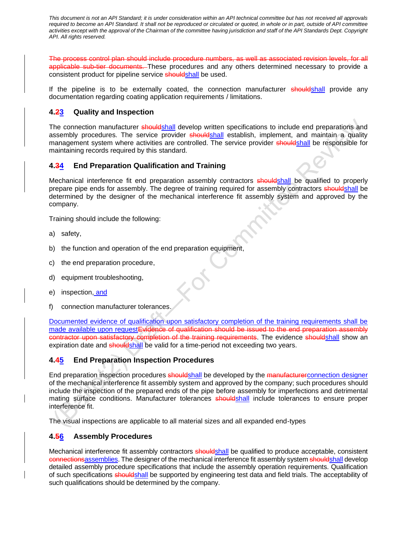The process control plan should include procedure numbers, as well as associated revision levels, for all applicable sub-tier documents. These procedures and any others determined necessary to provide a consistent product for pipeline service shouldshall be used.

If the pipeline is to be externally coated, the connection manufacturer shouldshall provide any documentation regarding coating application requirements / limitations.

# **4.23 Quality and Inspection**

The connection manufacturer shouldshall develop written specifications to include end preparations and assembly procedures. The service provider shouldshall establish, implement, and maintain a quality management system where activities are controlled. The service provider shouldshall be responsible for maintaining records required by this standard.

# **4.34 End Preparation Qualification and Training**

Mechanical interference fit end preparation assembly contractors shouldshall be qualified to properly prepare pipe ends for assembly. The degree of training required for assembly contractors shouldshall be determined by the designer of the mechanical interference fit assembly system and approved by the company.

Training should include the following:

- a) safety,
- b) the function and operation of the end preparation equipment,
- c) the end preparation procedure,
- d) equipment troubleshooting,
- e) inspection, and
- f) connection manufacturer tolerances.

Documented evidence of qualification upon satisfactory completion of the training requirements shall be made available upon requestEvidence of qualification should be issued to the end preparation assembly contractor upon satisfactory completion of the training requirements. The evidence shouldshall show an expiration date and shouldshall be valid for a time-period not exceeding two years.

#### **4.45 End Preparation Inspection Procedures**

End preparation inspection procedures shouldshall be developed by the manufacturer connection designer of the mechanical interference fit assembly system and approved by the company; such procedures should include the inspection of the prepared ends of the pipe before assembly for imperfections and detrimental mating surface conditions. Manufacturer tolerances shouldshall include tolerances to ensure proper interference fit.

The visual inspections are applicable to all material sizes and all expanded end-types

#### **4.56 Assembly Procedures**

Mechanical interference fit assembly contractors shouldshall be qualified to produce acceptable, consistent connectionsassemblies. The designer of the mechanical interference fit assembly system shouldshall develop detailed assembly procedure specifications that include the assembly operation requirements. Qualification of such specifications shouldshall be supported by engineering test data and field trials. The acceptability of such qualifications should be determined by the company.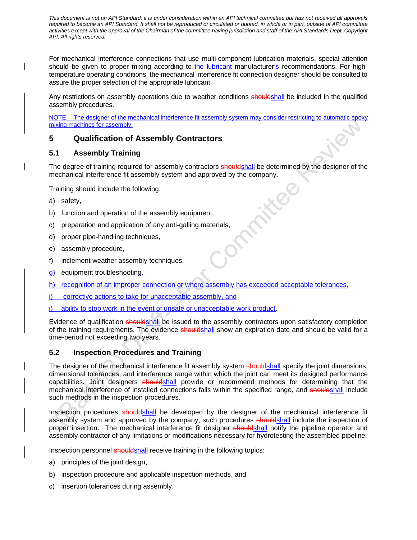For mechanical interference connections that use multi-component lubrication materials, special attention should be given to proper mixing according to the lubricant manufacturer's recommendations. For hightemperature operating conditions, the mechanical interference fit connection designer should be consulted to assure the proper selection of the appropriate lubricant.

Any restrictions on assembly operations due to weather conditions shouldshall be included in the qualified assembly procedures.

NOTE The designer of the mechanical interference fit assembly system may consider restricting to automatic epoxy mixing machines for assembly.

# **5 Qualification of Assembly Contractors**

# **5.1 Assembly Training**

The degree of training required for assembly contractors **shouldshall** be determined by the designer of the mechanical interference fit assembly system and approved by the company.<br>Training should include the following:<br>a) safety,<br>b) function and operation of the

Training should include the following:

- a) safety,
- b) function and operation of the assembly equipment,
- c) preparation and application of any anti-galling materials,
- d) proper pipe-handling techniques,
- e) assembly procedure,
- f) inclement weather assembly techniques,
- g) equipment troubleshooting,
- h) recognition of an improper connection or where assembly has exceeded acceptable tolerances,
- corrective actions to take for unacceptable assembly, and
- ability to stop work in the event of unsafe or unacceptable work product.

Evidence of qualification shouldshall be issued to the assembly contractors upon satisfactory completion of the training requirements. The evidence shouldshall show an expiration date and should be valid for a time-period not exceeding two years.

# **5.2 Inspection Procedures and Training**

The designer of the mechanical interference fit assembly system shouldshall specify the joint dimensions, dimensional tolerances, and interference range within which the joint can meet its designed performance capabilities. Joint designers shouldshall provide or recommend methods for determining that the mechanical interference of installed connections falls within the specified range, and shouldshall include such methods in the inspection procedures.

Inspection procedures shouldshall be developed by the designer of the mechanical interference fit assembly system and approved by the company; such procedures shouldshall include the inspection of proper insertion. The mechanical interference fit designer shouldshall notify the pipeline operator and assembly contractor of any limitations or modifications necessary for hydrotesting the assembled pipeline.

Inspection personnel shouldshall receive training in the following topics:

- a) principles of the joint design,
- b) inspection procedure and applicable inspection methods, and
- c) insertion tolerances during assembly.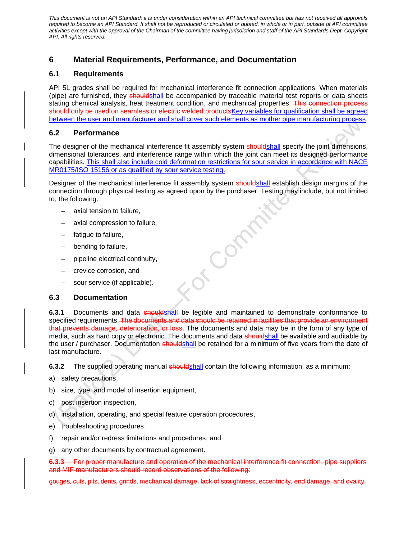# **6 Material Requirements, Performance, and Documentation**

#### **6.1 Requirements**

API 5L grades shall be required for mechanical interference fit connection applications. When materials (pipe) are furnished, they shouldshall be accompanied by traceable material test reports or data sheets stating chemical analysis, heat treatment condition, and mechanical properties. This connection process should only be used on seamless or electric welded products Key variables for qualification shall be agreed between the user and manufacturer and shall cover such elements as mother pipe manufacturing process.

# **6.2 Performance**

The designer of the mechanical interference fit assembly system shouldshall specify the joint dimensions, dimensional tolerances, and interference range within which the joint can meet its designed performance capabilities. This shall also include cold deformation restrictions for sour service in accordance with NACE MR0175/ISO 15156 or as qualified by sour service testing.

Designer of the mechanical interference fit assembly system shouldshall establish design margins of the connection through physical testing as agreed upon by the purchaser. Testing may include, but not limited to, the following:

of Compa

- axial tension to failure,
- axial compression to failure,
- fatigue to failure,
- bending to failure,
- pipeline electrical continuity,
- crevice corrosion, and
- sour service (if applicable).

#### **6.3 Documentation**

**6.3.1** Documents and data shouldshall be legible and maintained to demonstrate conformance to specified requirements. The documents and data should be retained in facilities that provide an environment that prevents damage, deterioration, or loss. The documents and data may be in the form of any type of media, such as hard copy or electronic. The documents and data shouldshall be available and auditable by the user / purchaser. Documentation shouldshall be retained for a minimum of five years from the date of last manufacture.

**6.3.2** The supplied operating manual shouldshall contain the following information, as a minimum:

- a) safety precautions,
- b) size, type, and model of insertion equipment,
- c) post insertion inspection,
- d) installation, operating, and special feature operation procedures,
- e) troubleshooting procedures,
- f) repair and/or redress limitations and procedures, and
- g) any other documents by contractual agreement.

**6.3.3** For proper manufacture and operation of the mechanical interference fit connection, pipe suppliers and MIF manufacturers should record observations of the following:

gouges, cuts, pits, dents, grinds, mechanical damage, lack of straightness, eccentricity, end damage, and ovality.